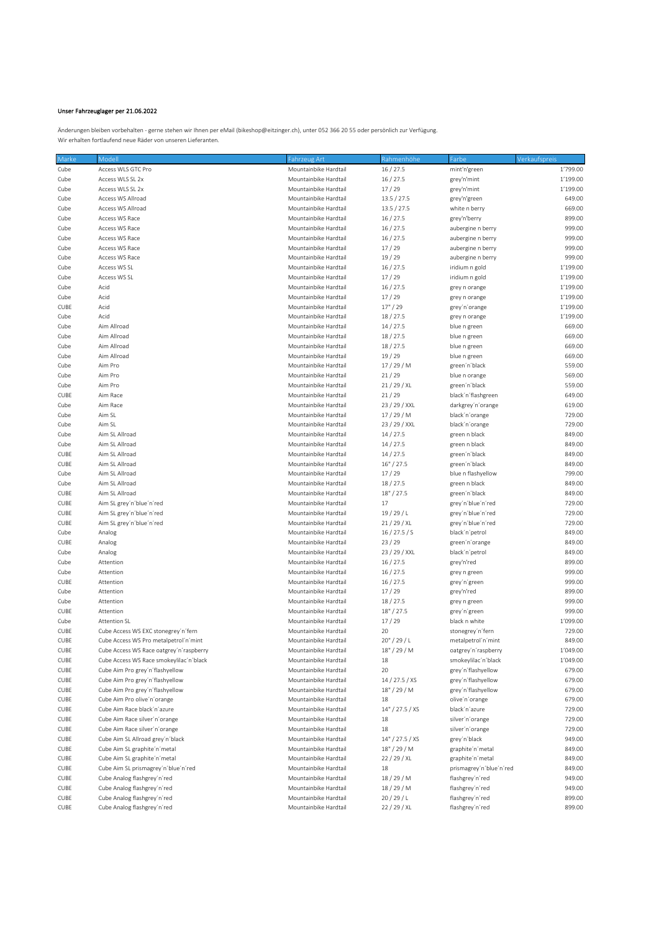## Unser Fahrzeuglager per 21.06.2022

Änderungen bleiben vorbehalten - gerne stehen wir Ihnen per eMail (bikeshop@eitzinger.ch), unter 052 366 20 55 oder persönlich zur Verfügung. Wir erhalten fortlaufend neue Räder von unseren Lieferanten.

| Marke        | Modell                                                             | Fahrzeug Art                                   | Rahmenhöhe      | Farbe                   | Verkaufspreis    |
|--------------|--------------------------------------------------------------------|------------------------------------------------|-----------------|-------------------------|------------------|
| Cube         | Access WLS GTC Pro                                                 | Mountainbike Hardtail                          | 16/27.5         | mint'n'green            | 1'799.00         |
| Cube         | Access WLS SL 2x                                                   | Mountainbike Hardtail                          | 16/27.5         | grey'n'mint             | 1'199.00         |
| Cube         | Access WLS SL 2x                                                   | Mountainbike Hardtail                          | 17/29           | grey'n'mint             | 1'199.00         |
| Cube         | Access WS Allroad                                                  | Mountainbike Hardtail                          | 13.5 / 27.5     | grey'n'green            | 649.00           |
| Cube         | Access WS Allroad                                                  | Mountainbike Hardtail                          | 13.5 / 27.5     | white n berry           | 669.00           |
| Cube         | Access WS Race                                                     | Mountainbike Hardtail                          | 16/27.5         | grey'n'berry            | 899.00           |
| Cube         | Access WS Race                                                     | Mountainbike Hardtail                          | 16/27.5         | aubergine n berry       | 999.00           |
| Cube         | Access WS Race                                                     | Mountainbike Hardtail                          | 16/27.5         | aubergine n berry       | 999.00           |
| Cube         | Access WS Race                                                     | Mountainbike Hardtail                          | 17/29           | aubergine n berry       | 999.00           |
| Cube         | Access WS Race                                                     | Mountainbike Hardtail                          | 19/29           | aubergine n berry       | 999.00           |
| Cube         | Access WS SL                                                       | Mountainbike Hardtail                          | 16/27.5         | iridium n gold          | 1'199.00         |
| Cube         | Access WS SL                                                       | Mountainbike Hardtail                          | 17/29           | iridium n gold          | 1'199.00         |
| Cube         | Acid                                                               | Mountainbike Hardtail                          | 16/27.5         | grey n orange           | 1'199.00         |
| Cube         | Acid                                                               | Mountainbike Hardtail                          | 17/29           | grey n orange           | 1'199.00         |
| CUBE         | Acid                                                               | Mountainbike Hardtail                          | 17" / 29        | grey'n'orange           | 1'199.00         |
| Cube         | Acid                                                               | Mountainbike Hardtail                          | 18/27.5         | grey n orange           | 1'199.00         |
| Cube         | Aim Allroad                                                        | Mountainbike Hardtail                          | 14/27.5         | blue n green            | 669.00           |
| Cube         | Aim Allroad                                                        | Mountainbike Hardtail                          | 18/27.5         | blue n green            | 669.00           |
| Cube         | Aim Allroad                                                        | Mountainbike Hardtail                          | 18/27.5         | blue n green            | 669.00           |
| Cube         | Aim Allroad                                                        | Mountainbike Hardtail                          | 19/29           | blue n green            | 669.00           |
| Cube         | Aim Pro                                                            | Mountainbike Hardtail                          | 17/29/M         | green'n'black           | 559.00           |
| Cube         | Aim Pro                                                            | Mountainbike Hardtail                          | 21/29           | blue n orange           | 569.00           |
| Cube         | Aim Pro                                                            | Mountainbike Hardtail                          | 21/29/XL        | green'n'black           | 559.00           |
| CUBE         | Aim Race                                                           | Mountainbike Hardtail                          | 21/29           | black'n'flashgreen      | 649.00           |
| Cube         | Aim Race                                                           | Mountainbike Hardtail                          | 23 / 29 / XXL   | darkgrey'n'orange       | 619.00           |
| Cube         | Aim SL                                                             | Mountainbike Hardtail                          | 17/29/M         | black'n'orange          | 729.00           |
| Cube         | Aim SL                                                             | Mountainbike Hardtail                          | 23 / 29 / XXL   | black'n'orange          | 729.00           |
| Cube         | Aim SL Allroad                                                     | Mountainbike Hardtail                          | 14/27.5         | green n black           | 849.00           |
| Cube         | Aim SL Allroad                                                     | Mountainbike Hardtail                          | 14/27.5         | green n black           | 849.00           |
| CUBE         | Aim SL Allroad                                                     | Mountainbike Hardtail                          | 14/27.5         | green'n'black           | 849.00           |
| CUBE         | Aim SL Allroad                                                     | Mountainbike Hardtail                          | 16" / 27.5      | green'n'black           | 849.00           |
| Cube         | Aim SL Allroad                                                     | Mountainbike Hardtail                          | 17/29           | blue n flashyellow      | 799.00           |
| Cube         | Aim SL Allroad                                                     | Mountainbike Hardtail                          | 18/27.5         | green n black           | 849.00           |
| CUBE         | Aim SL Allroad                                                     | Mountainbike Hardtail                          | 18" / 27.5      | green'n'black           | 849.00           |
| CUBE         | Aim SL grey'n'blue'n'red                                           | Mountainbike Hardtail                          | 17              | grey'n'blue'n'red       | 729.00           |
| CUBE         | Aim SL grey'n'blue'n'red                                           | Mountainbike Hardtail                          | 19/29/L         | grey'n'blue'n'red       | 729.00           |
| CUBE         | Aim SL grey'n'blue'n'red                                           | Mountainbike Hardtail                          | 21/29/XL        | grey'n'blue'n'red       | 729.00           |
| Cube         | Analog                                                             | Mountainbike Hardtail                          | 16 / 27.5 / S   | black'n'petrol          | 849.00           |
| CUBE         | Analog                                                             | Mountainbike Hardtail                          | 23/29           | green'n'orange          | 849.00           |
| Cube         | Analog                                                             | Mountainbike Hardtail                          | 23 / 29 / XXL   | black'n'petrol          | 849.00           |
| Cube         | Attention                                                          | Mountainbike Hardtail                          | 16/27.5         | grey'n'red              | 899.00           |
| Cube         | Attention                                                          | Mountainbike Hardtail                          | 16/27.5         | grey n green            | 999.00           |
| CUBE         | Attention                                                          | Mountainbike Hardtail                          | 16/27.5         | grey'n'green            | 999.00           |
| Cube         | Attention                                                          | Mountainbike Hardtail                          | 17/29           | grey'n'red              | 899.00           |
| Cube         | Attention                                                          | Mountainbike Hardtail                          | 18/27.5         | grey n green            | 999.00           |
| CUBE         | Attention                                                          | Mountainbike Hardtail                          | 18" / 27.5      | grey'n'green            | 999.00           |
| Cube         | <b>Attention SL</b>                                                | Mountainbike Hardtail                          | 17/29           | black n white           | 1'099.00         |
| CUBE         | Cube Access WS EXC stonegrey'n'fern                                | Mountainbike Hardtail                          | 20              | stonegrey'n'fern        | 729.00           |
| CUBE         | Cube Access WS Pro metalpetrol'n'mint                              | Mountainbike Hardtail                          | 20''/29/L       | metalpetrol'n'mint      | 849.00           |
| CUBE         | Cube Access WS Race oatgrey'n'raspberry                            | Mountainbike Hardtail                          | 18" / 29 / M    | oatgrey'n'raspberry     | 1'049.00         |
| CUBE         | Cube Access WS Race smokeylilac'n'black                            | Mountainbike Hardtail                          | 18              | smokeylilac'n'black     | 1'049.00         |
| CUBE         | Cube Aim Pro grey'n'flashyellow                                    | Mountainbike Hardtail                          | 20              | grey'n'flashyellow      | 679.00           |
| CUBE         | Cube Aim Pro grey'n'flashyellow                                    | Mountainbike Hardtail                          | 14 / 27.5 / XS  | grey'n'flashyellow      | 679.00           |
| CUBE         | Cube Aim Pro grey'n'flashyellow                                    | Mountainbike Hardtail                          | $18" / 29'$ M   | grey'n'flashyellow      | 679.00           |
| CUBE         | Cube Aim Pro olive'n'orange                                        | Mountainbike Hardtail                          | 18              | olive'n'orange          | 679.00           |
| CUBE         | Cube Aim Race black'n'azure                                        | Mountainbike Hardtail                          | 14" / 27.5 / XS | black'n'azure           | 729.00           |
| CUBE         | Cube Aim Race silver'n'orange                                      | Mountainbike Hardtail                          | 18              | silver'n'orange         | 729.00           |
| CUBE         | Cube Aim Race silver'n'orange                                      | Mountainbike Hardtail                          | 18              | silver'n'orange         | 729.00           |
|              | Cube Aim SL Allroad grey'n'black                                   | Mountainbike Hardtail                          | 14" / 27.5 / XS | grey'n'black            | 949.00           |
| CUBE<br>CUBE | Cube Aim SL graphite'n'metal                                       | Mountainbike Hardtail                          | 18" / 29 / M    | graphite'n' metal       | 849.00           |
|              | Cube Aim SL graphite'n'metal                                       | Mountainbike Hardtail                          | 22 / 29 / XL    | graphite'n' metal       | 849.00           |
| CUBE         |                                                                    | Mountainbike Hardtail                          | 18              |                         | 849.00           |
| CUBE         | Cube Aim SL prismagrey'n'blue'n'red<br>Cube Analog flashgrey'n'red | Mountainbike Hardtail                          |                 | prismagrey'n'blue'n'red | 949.00           |
| CUBE         |                                                                    |                                                | 18/29/M         | flashgrey'n'red         |                  |
| CUBE         | Cube Analog flashgrey'n'red<br>Cube Analog flashgrey'n'red         | Mountainbike Hardtail<br>Mountainbike Hardtail | 18/29/M         | flashgrey'n'red         | 949.00<br>899.00 |
| CUBE         |                                                                    |                                                | 20/29/L         | flashgrey'n'red         |                  |
| CUBE         | Cube Analog flashgrey'n'red                                        | Mountainbike Hardtail                          | 22 / 29 / XL    | flashgrey'n'red         | 899.00           |